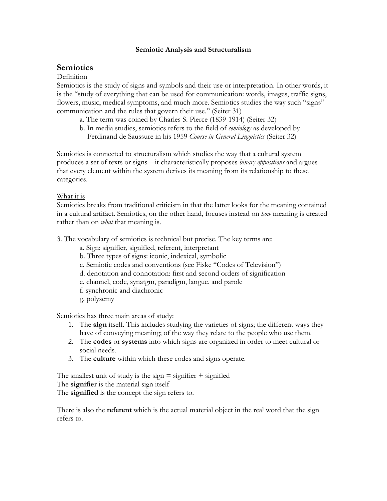#### **Semiotic Analysis and Structuralism**

# **Semiotics**

### Definition

Semiotics is the study of signs and symbols and their use or interpretation. In other words, it is the "study of everything that can be used for communication: words, images, traffic signs, flowers, music, medical symptoms, and much more. Semiotics studies the way such "signs" communication and the rules that govern their use." (Seiter 31)

- a. The term was coined by Charles S. Pierce (1839-1914) (Seiter 32)
- b. In media studies, semiotics refers to the field of *semiology* as developed by Ferdinand de Saussure in his 1959 *Course in General Linguistics* (Seiter 32)

Semiotics is connected to structuralism which studies the way that a cultural system produces a set of texts or signs—it characteristically proposes *binary oppositions* and argues that every element within the system derives its meaning from its relationship to these categories.

### What it is

Semiotics breaks from traditional criticism in that the latter looks for the meaning contained in a cultural artifact. Semiotics, on the other hand, focuses instead on *how* meaning is created rather than on *what* that meaning is.

- 3. The vocabulary of semiotics is technical but precise. The key terms are:
	- a. Sign: signifier, signified, referent, interpretant
	- b. Three types of signs: iconic, indexical, symbolic
	- c. Semiotic codes and conventions (see Fiske "Codes of Television")
	- d. denotation and connotation: first and second orders of signification
	- e. channel, code, synatgm, paradigm, langue, and parole
	- f. synchronic and diachronic
	- g. polysemy

Semiotics has three main areas of study:

- 1. The **sign** itself. This includes studying the varieties of signs; the different ways they have of conveying meaning; of the way they relate to the people who use them.
- 2. The **codes** or **systems** into which signs are organized in order to meet cultural or social needs.
- 3. The **culture** within which these codes and signs operate.

The smallest unit of study is the sign  $=$  signifier  $+$  signified The **signifier** is the material sign itself The **signified** is the concept the sign refers to.

There is also the **referent** which is the actual material object in the real word that the sign refers to.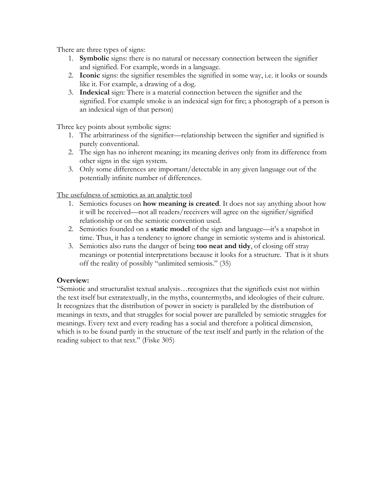There are three types of signs:

- 1. **Symbolic** signs: there is no natural or necessary connection between the signifier and signified. For example, words in a language.
- 2. **Iconic** signs: the signifier resembles the signified in some way, i.e. it looks or sounds like it. For example, a drawing of a dog.
- 3. **Indexical** sign: There is a material connection between the signifier and the signified. For example smoke is an indexical sign for fire; a photograph of a person is an indexical sign of that person)

Three key points about symbolic signs:

- 1. The arbitrariness of the signifier—relationship between the signifier and signified is purely conventional.
- 2. The sign has no inherent meaning; its meaning derives only from its difference from other signs in the sign system.
- 3. Only some differences are important/detectable in any given language out of the potentially infinite number of differences.

The usefulness of semiotics as an analytic tool

- 1. Semiotics focuses on **how meaning is created**. It does not say anything about how it will be received—not all readers/receivers will agree on the signifier/signified relationship or on the semiotic convention used.
- 2. Semiotics founded on a **static model** of the sign and language—it's a snapshot in time. Thus, it has a tendency to ignore change in semiotic systems and is ahistorical.
- 3. Semiotics also runs the danger of being **too neat and tidy**, of closing off stray meanings or potential interpretations because it looks for a structure. That is it shuts off the reality of possibly "unlimited semiosis." (35)

## **Overview:**

"Semiotic and structuralist textual analysis…recognizes that the signifieds exist not within the text itself but extratextually, in the myths, countermyths, and ideologies of their culture. It recognizes that the distribution of power in society is paralleled by the distribution of meanings in texts, and that struggles for social power are paralleled by semiotic struggles for meanings. Every text and every reading has a social and therefore a political dimension, which is to be found partly in the structure of the text itself and partly in the relation of the reading subject to that text." (Fiske 305)